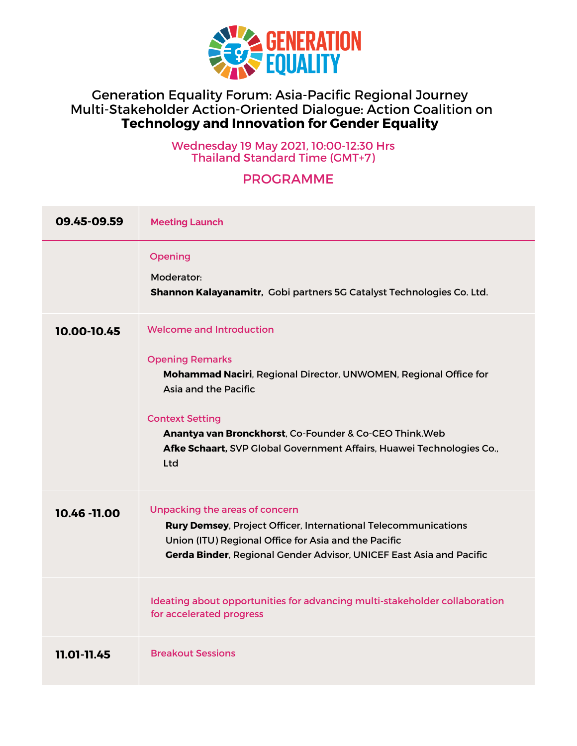

## Generation Equality Forum: Asia-Pacific Regional Journey Multi-Stakeholder Action-Oriented Dialogue: Action Coalition on **Technology and Innovation for Gender Equality**

Wednesday 19 May 2021, 10:00-12:30 Hrs Thailand Standard Time (GMT+7)

## PROGRAMME

| 09.45-09.59   | <b>Meeting Launch</b>                                                                                                                                                                                                                                                                                                      |
|---------------|----------------------------------------------------------------------------------------------------------------------------------------------------------------------------------------------------------------------------------------------------------------------------------------------------------------------------|
|               | Opening<br>Moderator:<br>Shannon Kalayanamitr, Gobi partners 5G Catalyst Technologies Co. Ltd.                                                                                                                                                                                                                             |
| 10.00-10.45   | Welcome and Introduction<br><b>Opening Remarks</b><br>Mohammad Naciri, Regional Director, UNWOMEN, Regional Office for<br>Asia and the Pacific<br><b>Context Setting</b><br>Anantya van Bronckhorst, Co-Founder & Co-CEO Think. Web<br>Afke Schaart, SVP Global Government Affairs, Huawei Technologies Co.,<br><b>Ltd</b> |
| 10.46 - 11.00 | Unpacking the areas of concern<br>Rury Demsey, Project Officer, International Telecommunications<br>Union (ITU) Regional Office for Asia and the Pacific<br>Gerda Binder, Regional Gender Advisor, UNICEF East Asia and Pacific                                                                                            |
|               | Ideating about opportunities for advancing multi-stakeholder collaboration<br>for accelerated progress                                                                                                                                                                                                                     |
| 11.01-11.45   | <b>Breakout Sessions</b>                                                                                                                                                                                                                                                                                                   |